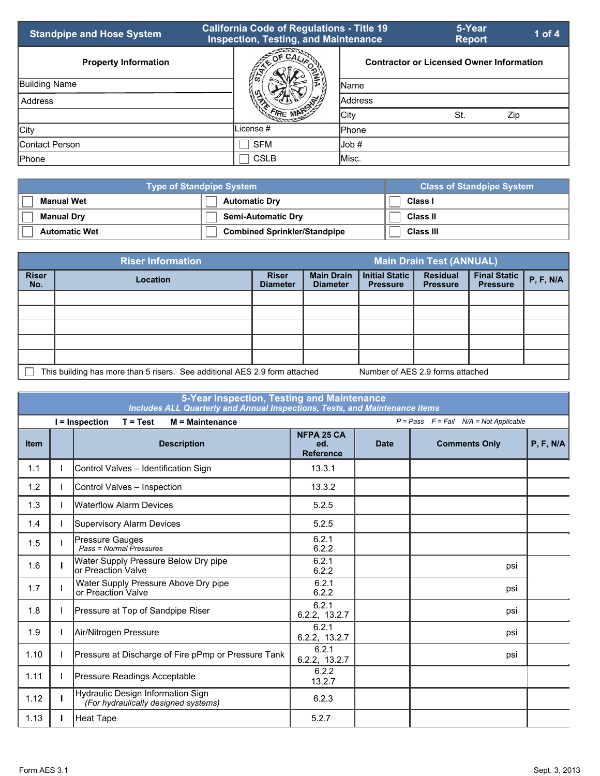| <b>Standpipe and Hose System</b> | <b>California Code of Regulations - Title 19</b><br><b>Inspection, Testing, and Maintenance</b> |                                                 | 5-Year<br><b>Report</b> | 1 of $4$ |
|----------------------------------|-------------------------------------------------------------------------------------------------|-------------------------------------------------|-------------------------|----------|
| <b>Property Information</b>      | $OF$ CA <sub><math>I</math></sub>                                                               | <b>Contractor or Licensed Owner Information</b> |                         |          |
| <b>Building Name</b>             | 46                                                                                              | <b>IName</b>                                    |                         |          |
| Address                          |                                                                                                 | <b>Address</b>                                  |                         |          |
|                                  |                                                                                                 | <b>City</b>                                     | St.                     | Zip      |
| City                             | License #                                                                                       | <b>Phone</b>                                    |                         |          |
| Contact Person                   | <b>SFM</b>                                                                                      | lJob #                                          |                         |          |
| Phone                            | <b>CSLB</b>                                                                                     | ∥Misc.                                          |                         |          |

| <b>Type of Standpipe System</b> | <b>Class of Standpipe System</b>    |                 |
|---------------------------------|-------------------------------------|-----------------|
| <b>Manual Wet</b>               | <b>Automatic Dry</b>                | Class I         |
| <b>Manual Dry</b>               | <b>Semi-Automatic Dry</b>           | <b>Class II</b> |
| <b>Automatic Wet</b>            | <b>Combined Sprinkler/Standpipe</b> | Class III       |

|                                                                                                                | <b>Riser Information</b> | <b>Main Drain Test (ANNUAL)</b> |                                      |                                          |                                    |                                        |           |  |
|----------------------------------------------------------------------------------------------------------------|--------------------------|---------------------------------|--------------------------------------|------------------------------------------|------------------------------------|----------------------------------------|-----------|--|
| <b>Riser</b><br>No.                                                                                            | <b>Location</b>          | <b>Riser</b><br><b>Diameter</b> | <b>Main Drain</b><br><b>Diameter</b> | <b>Initial Static</b><br><b>Pressure</b> | <b>Residual</b><br><b>Pressure</b> | <b>Final Static</b><br><b>Pressure</b> | P, F, N/A |  |
|                                                                                                                |                          |                                 |                                      |                                          |                                    |                                        |           |  |
|                                                                                                                |                          |                                 |                                      |                                          |                                    |                                        |           |  |
|                                                                                                                |                          |                                 |                                      |                                          |                                    |                                        |           |  |
|                                                                                                                |                          |                                 |                                      |                                          |                                    |                                        |           |  |
|                                                                                                                |                          |                                 |                                      |                                          |                                    |                                        |           |  |
| This building has more than 5 risers. See additional AES 2.9 form attached<br>Number of AES 2.9 forms attached |                          |                                 |                                      |                                          |                                    |                                        |           |  |

|             | 5-Year Inspection, Testing and Maintenance<br>Includes ALL Quarterly and Annual Inspections, Tests, and Maintenance items |                                                                           |                                              |             |                                              |           |  |  |
|-------------|---------------------------------------------------------------------------------------------------------------------------|---------------------------------------------------------------------------|----------------------------------------------|-------------|----------------------------------------------|-----------|--|--|
|             |                                                                                                                           | M = Maintenance<br>I = Inspection<br>$T = Test$                           |                                              |             | $P = Pass$ $F = Fail$ $N/A = Not$ Applicable |           |  |  |
| <b>Item</b> |                                                                                                                           | <b>Description</b>                                                        | <b>NFPA 25 CA</b><br>ed.<br><b>Reference</b> | <b>Date</b> | <b>Comments Only</b>                         | P, F, N/A |  |  |
| 1.1         |                                                                                                                           | Control Valves - Identification Sign                                      | 13.3.1                                       |             |                                              |           |  |  |
| 1.2         |                                                                                                                           | Control Valves - Inspection                                               | 13.3.2                                       |             |                                              |           |  |  |
| 1.3         |                                                                                                                           | <b>Waterflow Alarm Devices</b>                                            | 5.2.5                                        |             |                                              |           |  |  |
| 1.4         |                                                                                                                           | Supervisory Alarm Devices                                                 | 5.2.5                                        |             |                                              |           |  |  |
| 1.5         |                                                                                                                           | Pressure Gauges<br>Pass = Normal Pressures                                | 6.2.1<br>6.2.2                               |             |                                              |           |  |  |
| 1.6         |                                                                                                                           | Water Supply Pressure Below Dry pipe<br>lor Preaction Valve               | 6.2.1<br>6.2.2                               |             | psi                                          |           |  |  |
| 1.7         |                                                                                                                           | Water Supply Pressure Above Dry pipe<br>or Preaction Valve                | 6.2.1<br>6.2.2                               |             | psi                                          |           |  |  |
| 1.8         |                                                                                                                           | Pressure at Top of Sandpipe Riser                                         | 6.2.1<br>6.2.2, 13.2.7                       |             | psi                                          |           |  |  |
| 1.9         |                                                                                                                           | Air/Nitrogen Pressure                                                     | 6.2.1<br>6.2.2, 13.2.7                       |             | psi                                          |           |  |  |
| 1.10        |                                                                                                                           | Pressure at Discharge of Fire pPmp or Pressure Tank                       | 6.2.1<br>6.2.2, 13.2.7                       |             | psi                                          |           |  |  |
| 1.11        |                                                                                                                           | Pressure Readings Acceptable                                              | 6.2.2<br>13.2.7                              |             |                                              |           |  |  |
| 1.12        |                                                                                                                           | Hydraulic Design Information Sign<br>(For hydraulically designed systems) | 6.2.3                                        |             |                                              |           |  |  |
| 1.13        |                                                                                                                           | <b>Heat Tape</b>                                                          | 5.2.7                                        |             |                                              |           |  |  |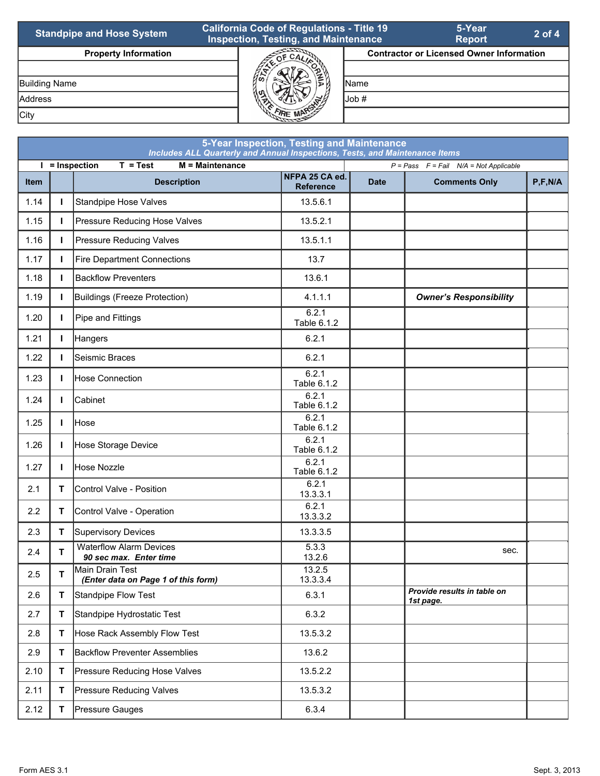| <b>Standpipe and Hose System</b> | <b>California Code of Regulations - Title 19</b><br><b>Inspection, Testing, and Maintenance</b> |                                                 | 5-Year<br><b>Report</b> | $2$ of 4 |
|----------------------------------|-------------------------------------------------------------------------------------------------|-------------------------------------------------|-------------------------|----------|
| <b>Property Information</b>      |                                                                                                 | <b>Contractor or Licensed Owner Information</b> |                         |          |
|                                  |                                                                                                 |                                                 |                         |          |
| <b>Building Name</b>             |                                                                                                 | <b>IName</b>                                    |                         |          |
| Address                          |                                                                                                 | lJob #                                          |                         |          |
| City                             |                                                                                                 |                                                 |                         |          |

|                                                                                                     | 5-Year Inspection, Testing and Maintenance<br>Includes ALL Quarterly and Annual Inspections, Tests, and Maintenance Items |                                                          |                                    |             |                                          |           |  |  |  |
|-----------------------------------------------------------------------------------------------------|---------------------------------------------------------------------------------------------------------------------------|----------------------------------------------------------|------------------------------------|-------------|------------------------------------------|-----------|--|--|--|
| $I =$ Inspection<br>$T = Test$<br>$M =$ Maintenance<br>$P = Pass$ $F = Fail$ $N/A = Not Applicable$ |                                                                                                                           |                                                          |                                    |             |                                          |           |  |  |  |
| <b>Item</b>                                                                                         |                                                                                                                           | <b>Description</b>                                       | NFPA 25 CA ed.<br><b>Reference</b> | <b>Date</b> | <b>Comments Only</b>                     | P, F, N/A |  |  |  |
| 1.14                                                                                                | $\mathbf{I}$                                                                                                              | <b>Standpipe Hose Valves</b>                             | 13.5.6.1                           |             |                                          |           |  |  |  |
| 1.15                                                                                                | L                                                                                                                         | Pressure Reducing Hose Valves                            | 13.5.2.1                           |             |                                          |           |  |  |  |
| 1.16                                                                                                | $\mathbf{I}$                                                                                                              | <b>Pressure Reducing Valves</b>                          | 13.5.1.1                           |             |                                          |           |  |  |  |
| 1.17                                                                                                | $\mathbf{I}$                                                                                                              | <b>Fire Department Connections</b>                       | 13.7                               |             |                                          |           |  |  |  |
| 1.18                                                                                                | $\mathbf{I}$                                                                                                              | <b>Backflow Preventers</b>                               | 13.6.1                             |             |                                          |           |  |  |  |
| 1.19                                                                                                | L                                                                                                                         | Buildings (Freeze Protection)                            | 4.1.1.1                            |             | <b>Owner's Responsibility</b>            |           |  |  |  |
| 1.20                                                                                                | $\mathbf{I}$                                                                                                              | Pipe and Fittings                                        | 6.2.1<br>Table 6.1.2               |             |                                          |           |  |  |  |
| 1.21                                                                                                | $\mathbf{I}$                                                                                                              | Hangers                                                  | 6.2.1                              |             |                                          |           |  |  |  |
| 1.22                                                                                                | $\mathbf{L}$                                                                                                              | Seismic Braces                                           | 6.2.1                              |             |                                          |           |  |  |  |
| 1.23                                                                                                | $\mathbf{I}$                                                                                                              | Hose Connection                                          | 6.2.1<br>Table 6.1.2               |             |                                          |           |  |  |  |
| 1.24                                                                                                | L                                                                                                                         | Cabinet                                                  | 6.2.1<br>Table 6.1.2               |             |                                          |           |  |  |  |
| 1.25                                                                                                | $\mathbf{I}$                                                                                                              | <b>Hose</b>                                              | 6.2.1<br>Table 6.1.2               |             |                                          |           |  |  |  |
| 1.26                                                                                                | $\mathbf{I}$                                                                                                              | Hose Storage Device                                      | 6.2.1<br>Table 6.1.2               |             |                                          |           |  |  |  |
| 1.27                                                                                                | I.                                                                                                                        | Hose Nozzle                                              | 6.2.1<br>Table 6.1.2               |             |                                          |           |  |  |  |
| 2.1                                                                                                 | T.                                                                                                                        | Control Valve - Position                                 | 6.2.1<br>13.3.3.1                  |             |                                          |           |  |  |  |
| 2.2                                                                                                 | T.                                                                                                                        | Control Valve - Operation                                | 6.2.1<br>13.3.3.2                  |             |                                          |           |  |  |  |
| 2.3                                                                                                 | T.                                                                                                                        | <b>Supervisory Devices</b>                               | 13.3.3.5                           |             |                                          |           |  |  |  |
| 2.4                                                                                                 | T                                                                                                                         | <b>Waterflow Alarm Devices</b><br>90 sec max. Enter time | 5.3.3<br>13.2.6                    |             | sec.                                     |           |  |  |  |
| 2.5                                                                                                 | T                                                                                                                         | Main Drain Test<br>(Enter data on Page 1 of this form)   | 13.2.5<br>13.3.3.4                 |             |                                          |           |  |  |  |
| 2.6                                                                                                 | T.                                                                                                                        | Standpipe Flow Test                                      | 6.3.1                              |             | Provide results in table on<br>1st page. |           |  |  |  |
| 2.7                                                                                                 | T                                                                                                                         | Standpipe Hydrostatic Test                               | 6.3.2                              |             |                                          |           |  |  |  |
| 2.8                                                                                                 | T.                                                                                                                        | Hose Rack Assembly Flow Test                             | 13.5.3.2                           |             |                                          |           |  |  |  |
| 2.9                                                                                                 | T                                                                                                                         | <b>Backflow Preventer Assemblies</b>                     | 13.6.2                             |             |                                          |           |  |  |  |
| 2.10                                                                                                | Τ                                                                                                                         | Pressure Reducing Hose Valves                            | 13.5.2.2                           |             |                                          |           |  |  |  |
| 2.11                                                                                                | T                                                                                                                         | Pressure Reducing Valves                                 | 13.5.3.2                           |             |                                          |           |  |  |  |
| 2.12                                                                                                | T.                                                                                                                        | Pressure Gauges                                          | 6.3.4                              |             |                                          |           |  |  |  |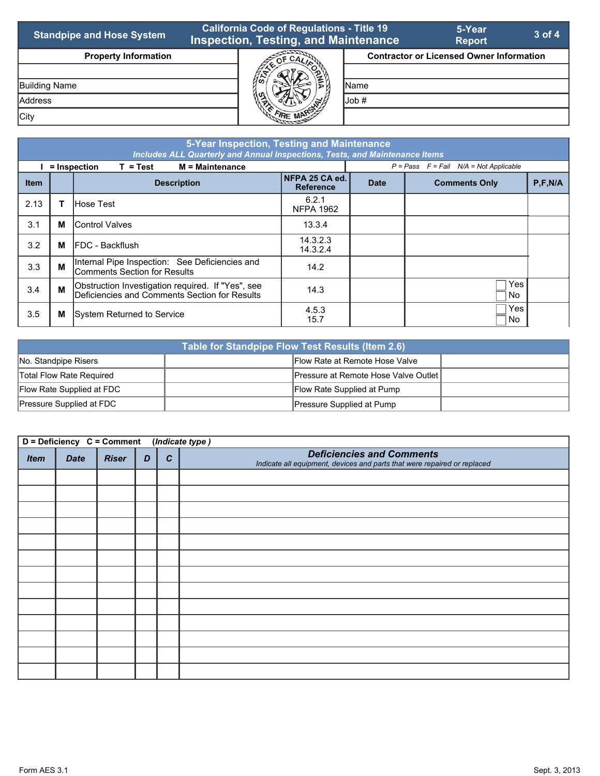| <b>Standpipe and Hose System</b> | <b>California Code of Regulations - Title 19</b><br><b>Inspection, Testing, and Maintenance</b> |                  | 5-Year<br><b>Report</b>                         | $3$ of 4 |
|----------------------------------|-------------------------------------------------------------------------------------------------|------------------|-------------------------------------------------|----------|
| <b>Property Information</b>      | Ωr                                                                                              |                  | <b>Contractor or Licensed Owner Information</b> |          |
|                                  |                                                                                                 |                  |                                                 |          |
| <b>Building Name</b>             |                                                                                                 | <b>IName</b>     |                                                 |          |
| <b>Address</b>                   | ₹.                                                                                              | $\mathsf{Job}$ # |                                                 |          |
| City                             |                                                                                                 |                  |                                                 |          |

|             | 5-Year Inspection, Testing and Maintenance<br>Includes ALL Quarterly and Annual Inspections, Tests, and Maintenance Items |                                                                                                    |                                    |             |                                              |           |  |  |  |
|-------------|---------------------------------------------------------------------------------------------------------------------------|----------------------------------------------------------------------------------------------------|------------------------------------|-------------|----------------------------------------------|-----------|--|--|--|
|             |                                                                                                                           | $M =$ Maintenance<br>= Inspection<br>$T = Test$                                                    |                                    |             | $P = Pass$ $F = Fail$ $N/A = Not Applicable$ |           |  |  |  |
| <b>Item</b> |                                                                                                                           | <b>Description</b>                                                                                 | NFPA 25 CA ed.<br><b>Reference</b> | <b>Date</b> | <b>Comments Only</b>                         | P, F, N/A |  |  |  |
| 2.13        |                                                                                                                           | <b>IHose Test</b>                                                                                  | 6.2.1<br><b>NFPA 1962</b>          |             |                                              |           |  |  |  |
| 3.1         | М                                                                                                                         | <b>Control Valves</b>                                                                              | 13.3.4                             |             |                                              |           |  |  |  |
| 3.2         | м                                                                                                                         | <b>IFDC</b> - Backflush                                                                            | 14.3.2.3<br>14.3.2.4               |             |                                              |           |  |  |  |
| 3.3         | M                                                                                                                         | Internal Pipe Inspection: See Deficiencies and<br>Comments Section for Results                     | 14.2                               |             |                                              |           |  |  |  |
| 3.4         | M                                                                                                                         | Obstruction Investigation required. If "Yes", see<br>Deficiencies and Comments Section for Results | 14.3                               |             | Yes<br>No.                                   |           |  |  |  |
| 3.5         | М                                                                                                                         | System Returned to Service                                                                         | 4.5.3<br>15.7                      |             | Yes<br>No.                                   |           |  |  |  |

| Table for Standpipe Flow Test Results (Item 2.6) |                                        |  |  |  |  |  |
|--------------------------------------------------|----------------------------------------|--|--|--|--|--|
| No. Standpipe Risers                             | <b>Flow Rate at Remote Hose Valve</b>  |  |  |  |  |  |
| Total Flow Rate Required                         | Pressure at Remote Hose Valve Outlet I |  |  |  |  |  |
| Flow Rate Supplied at FDC                        | Flow Rate Supplied at Pump             |  |  |  |  |  |
| Pressure Supplied at FDC                         | Pressure Supplied at Pump              |  |  |  |  |  |

| D = Deficiency C = Comment<br>(Indicate type) |             |              |   |                  |                                                                                                              |  |  |  |
|-----------------------------------------------|-------------|--------------|---|------------------|--------------------------------------------------------------------------------------------------------------|--|--|--|
| <b>Item</b>                                   | <b>Date</b> | <b>Riser</b> | D | $\boldsymbol{c}$ | <b>Deficiencies and Comments</b><br>Indicate all equipment, devices and parts that were repaired or replaced |  |  |  |
|                                               |             |              |   |                  |                                                                                                              |  |  |  |
|                                               |             |              |   |                  |                                                                                                              |  |  |  |
|                                               |             |              |   |                  |                                                                                                              |  |  |  |
|                                               |             |              |   |                  |                                                                                                              |  |  |  |
|                                               |             |              |   |                  |                                                                                                              |  |  |  |
|                                               |             |              |   |                  |                                                                                                              |  |  |  |
|                                               |             |              |   |                  |                                                                                                              |  |  |  |
|                                               |             |              |   |                  |                                                                                                              |  |  |  |
|                                               |             |              |   |                  |                                                                                                              |  |  |  |
|                                               |             |              |   |                  |                                                                                                              |  |  |  |
|                                               |             |              |   |                  |                                                                                                              |  |  |  |
|                                               |             |              |   |                  |                                                                                                              |  |  |  |
|                                               |             |              |   |                  |                                                                                                              |  |  |  |